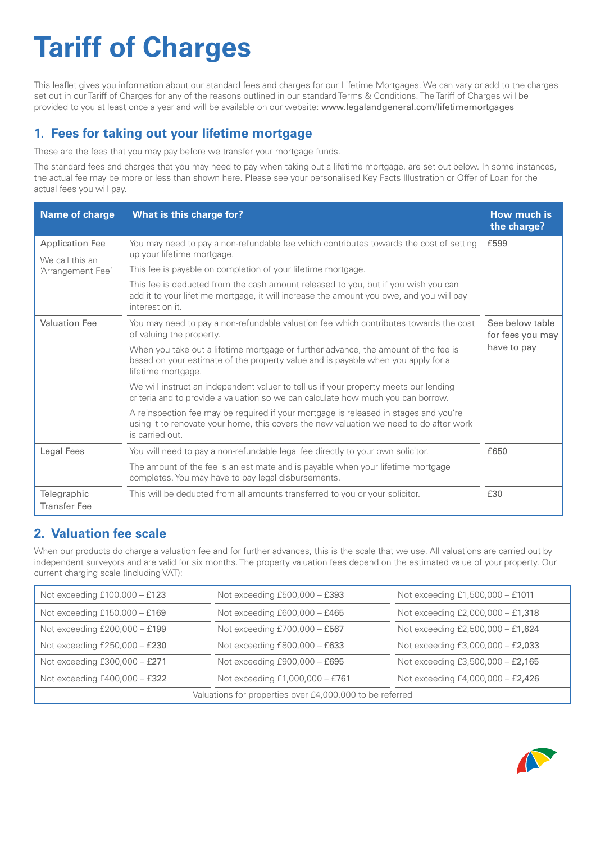# **Tariff of Charges**

 provided to you at least once a year and will be available on our website: www.legalandgeneral.com/lifetimemortgages This leaflet gives you information about our standard fees and charges for our Lifetime Mortgages. We can vary or add to the charges set out in our Tariff of Charges for any of the reasons outlined in our standard Terms & Conditions. The Tariff of Charges will be

## **1. Fees for taking out your lifetime mortgage**

These are the fees that you may pay before we transfer your mortgage funds.

The standard fees and charges that you may need to pay when taking out a lifetime mortgage, are set out below. In some instances, the actual fee may be more or less than shown here. Please see your personalised Key Facts Illustration or Offer of Loan for the actual fees you will pay.

| <b>Name of charge</b>                                          | What is this charge for?                                                                                                                                                                          | How much is<br>the charge?                         |
|----------------------------------------------------------------|---------------------------------------------------------------------------------------------------------------------------------------------------------------------------------------------------|----------------------------------------------------|
| <b>Application Fee</b><br>We call this an<br>'Arrangement Fee' | You may need to pay a non-refundable fee which contributes towards the cost of setting                                                                                                            | £599                                               |
|                                                                | up your lifetime mortgage.<br>This fee is payable on completion of your lifetime mortgage.                                                                                                        |                                                    |
|                                                                | This fee is deducted from the cash amount released to you, but if you wish you can<br>add it to your lifetime mortgage, it will increase the amount you owe, and you will pay<br>interest on it.  |                                                    |
| <b>Valuation Fee</b>                                           | You may need to pay a non-refundable valuation fee which contributes towards the cost<br>of valuing the property.                                                                                 | See below table<br>for fees you may<br>have to pay |
|                                                                | When you take out a lifetime mortgage or further advance, the amount of the fee is<br>based on your estimate of the property value and is payable when you apply for a<br>lifetime mortgage.      |                                                    |
|                                                                | We will instruct an independent valuer to tell us if your property meets our lending<br>criteria and to provide a valuation so we can calculate how much you can borrow.                          |                                                    |
|                                                                | A reinspection fee may be required if your mortgage is released in stages and you're<br>using it to renovate your home, this covers the new valuation we need to do after work<br>is carried out. |                                                    |
| Legal Fees                                                     | You will need to pay a non-refundable legal fee directly to your own solicitor.                                                                                                                   | £650                                               |
|                                                                | The amount of the fee is an estimate and is payable when your lifetime mortgage<br>completes. You may have to pay legal disbursements.                                                            |                                                    |
| Telegraphic<br><b>Transfer Fee</b>                             | This will be deducted from all amounts transferred to you or your solicitor.                                                                                                                      | £30                                                |

#### **2. Valuation fee scale**

When our products do charge a valuation fee and for further advances, this is the scale that we use. All valuations are carried out by independent surveyors and are valid for six months. The property valuation fees depend on the estimated value of your property. Our current charging scale (including VAT):

| Not exceeding £100,000 - £123                            | Not exceeding $£500,000 - £393$ | Not exceeding £1,500,000 - £1011  |  |  |
|----------------------------------------------------------|---------------------------------|-----------------------------------|--|--|
| Not exceeding £150,000 - £169                            | Not exceeding £600,000 - £465   | Not exceeding £2,000,000 - £1,318 |  |  |
| Not exceeding £200,000 - £199                            | Not exceeding £700,000 - £567   | Not exceeding £2,500,000 - £1,624 |  |  |
| Not exceeding £250,000 - £230                            | Not exceeding £800,000 - £633   | Not exceeding £3,000,000 - £2,033 |  |  |
| Not exceeding $£300,000 - £271$                          | Not exceeding £900,000 - £695   | Not exceeding £3,500,000 - £2,165 |  |  |
| Not exceeding £400,000 - £322                            | Not exceeding £1,000,000 - £761 | Not exceeding £4,000,000 - £2,426 |  |  |
| Valuations for properties over £4,000,000 to be referred |                                 |                                   |  |  |